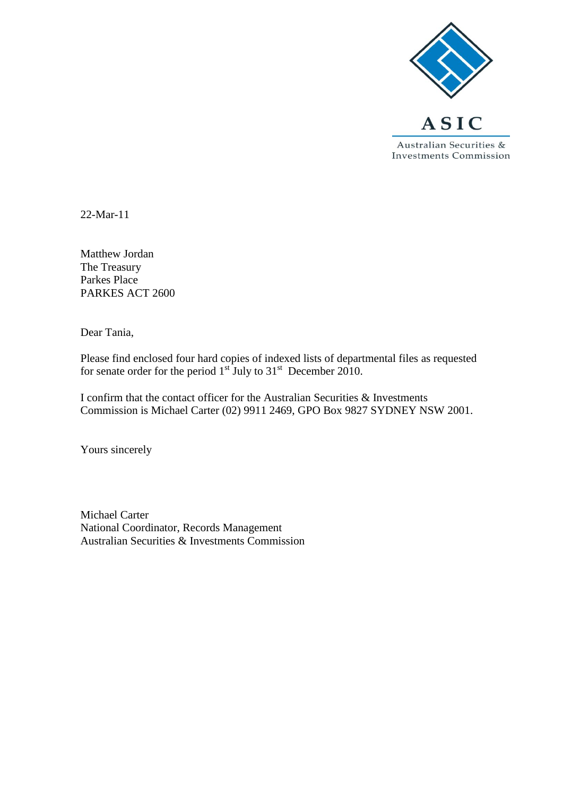

22-Mar-11

Matthew Jordan The Treasury Parkes Place PARKES ACT 2600

Dear Tania,

Please find enclosed four hard copies of indexed lists of departmental files as requested for senate order for the period  $1<sup>st</sup>$  July to  $31<sup>st</sup>$  December 2010.

I confirm that the contact officer for the Australian Securities & Investments Commission is Michael Carter (02) 9911 2469, GPO Box 9827 SYDNEY NSW 2001.

Yours sincerely

Michael Carter National Coordinator, Records Management Australian Securities & Investments Commission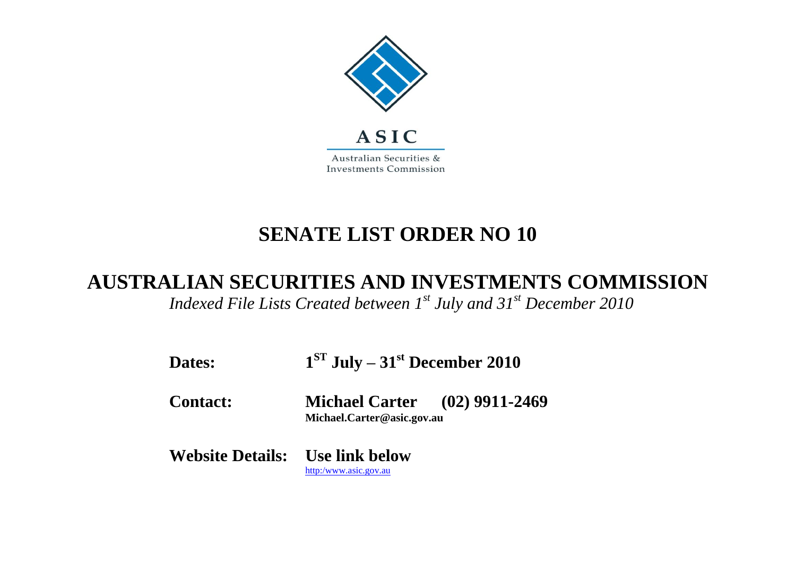

## **SENATE LIST ORDER NO 10**

## **AUSTRALIAN SECURITIES AND INVESTMENTS COMMISSION**

*Indexed File Lists Created between 1st July and 31st December 2010*

| Dates:                                 | $1ST$ July – 31 <sup>st</sup> December 2010                        |  |
|----------------------------------------|--------------------------------------------------------------------|--|
| <b>Contact:</b>                        | <b>Michael Carter</b> (02) 9911-2469<br>Michael.Carter@asic.gov.au |  |
| <b>Website Details:</b> Use link below | http:/www.asic.gov.au                                              |  |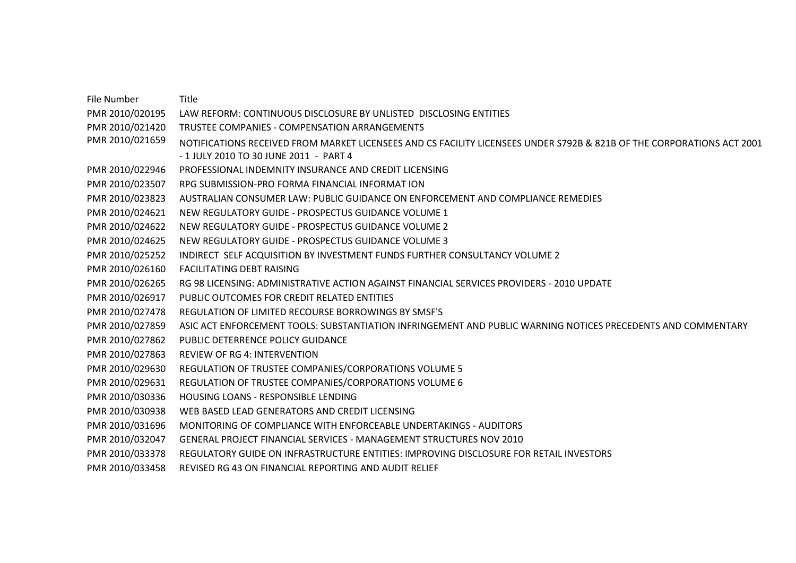File Number Title PMR 2010/020195 LAW REFORM: CONTINUOUS DISCLOSURE BY UNLISTED DISCLOSING ENTITIES PMR 2010/021420 TRUSTEE COMPANIES - COMPENSATION ARRANGEMENTS PMR 2010/021659 NOTIFICATIONS RECEIVED FROM MARKET LICENSEES AND CS FACILITY LICENSEES UNDER S792B & 821B OF THE CORPORATIONS ACT 2001 - 1 JULY 2010 TO 30 JUNE 2011 - PART 4 PMR 2010/022946 PROFESSIONAL INDEMNITY INSURANCE AND CREDIT LICENSING PMR 2010/023507 RPG SUBMISSION-PRO FORMA FINANCIAL INFORMAT ION PMR 2010/023823 AUSTRALIAN CONSUMER LAW: PUBLIC GUIDANCE ON ENFORCEMENT AND COMPLIANCE REMEDIES PMR 2010/024621 NEW REGULATORY GUIDE - PROSPECTUS GUIDANCE VOLUME 1 PMR 2010/024622 NEW REGULATORY GUIDE - PROSPECTUS GUIDANCE VOLUME 2 PMR 2010/024625 NEW REGULATORY GUIDE - PROSPECTUS GUIDANCE VOLUME 3 PMR 2010/025252 INDIRECT SELF ACQUISITION BY INVESTMENT FUNDS FURTHER CONSULTANCY VOLUME 2 PMR 2010/026160 FACILITATING DEBT RAISING PMR 2010/026265 RG 98 LICENSING: ADMINISTRATIVE ACTION AGAINST FINANCIAL SERVICES PROVIDERS - 2010 UPDATE PMR 2010/026917 PUBLIC OUTCOMES FOR CREDIT RELATED ENTITIES PMR 2010/027478 REGULATION OF LIMITED RECOURSE BORROWINGS BY SMSF'S PMR 2010/027859 ASIC ACT ENFORCEMENT TOOLS: SUBSTANTIATION INFRINGEMENT AND PUBLIC WARNING NOTICES PRECEDENTS AND COMMENTARY PMR 2010/027862 PUBLIC DETERRENCE POLICY GUIDANCE PMR 2010/027863 REVIEW OF RG 4: INTERVENTION PMR 2010/029630 REGULATION OF TRUSTEE COMPANIES/CORPORATIONS VOLUME 5 PMR 2010/029631 REGULATION OF TRUSTEE COMPANIES/CORPORATIONS VOLUME 6 PMR 2010/030336 HOUSING LOANS - RESPONSIBLE LENDING PMR 2010/030938 WEB BASED LEAD GENERATORS AND CREDIT LICENSING PMR 2010/031696 MONITORING OF COMPLIANCE WITH ENFORCEABLE UNDERTAKINGS - AUDITORS PMR 2010/032047 GENERAL PROJECT FINANCIAL SERVICES - MANAGEMENT STRUCTURES NOV 2010 PMR 2010/033378 REGULATORY GUIDE ON INFRASTRUCTURE ENTITIES: IMPROVING DISCLOSURE FOR RETAIL INVESTORS PMR 2010/033458 REVISED RG 43 ON FINANCIAL REPORTING AND AUDIT RELIEF